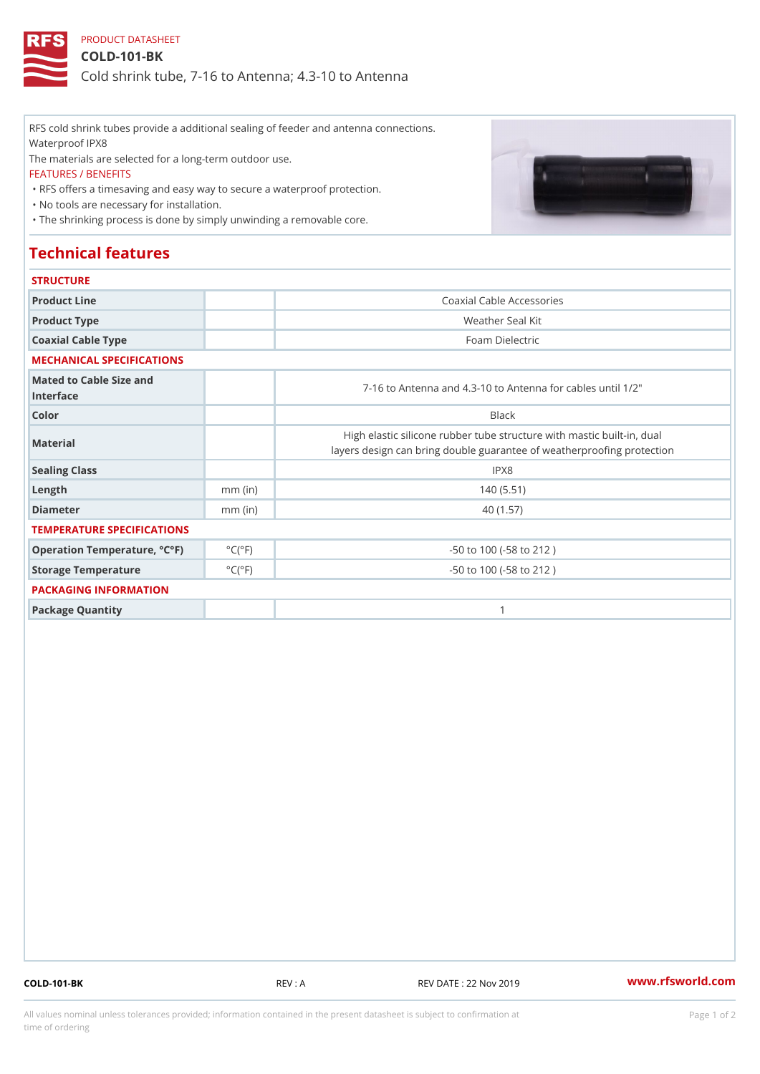## PRODUCT DATASHEET COLD-101-BK Cold shrink tube, 7-16 to Antenna; 4.3-10 to Antenna

RFS cold shrink tubes provide a additional sealing of feeder and antenna connections. Waterproof IPX8

The materials are selected for a long-term outdoor use.

FEATURES / BENEFITS

"RFS offers a timesaving and easy way to secure a waterproof protection.

"No tools are necessary for installation.

"The shrinking process is done by simply unwinding a removable core.

# Technical features

### **STRUCTURE**

| Product Line                         |                              | Coaxial Cable Accessories                                                                                               |
|--------------------------------------|------------------------------|-------------------------------------------------------------------------------------------------------------------------|
| Product Type                         |                              | Weather Seal Kit                                                                                                        |
| Coaxial Cable Type                   |                              | Foam Dielectric                                                                                                         |
| MECHANICAL SPECIFICATIONS            |                              |                                                                                                                         |
| Mated to Cable Size and<br>Interface |                              | 7-16 to Antenna and 4.3-10 to Antenna for cables until                                                                  |
| Color                                |                              | Black                                                                                                                   |
| Material                             |                              | High elastic silicone rubber tube structure with mastic bu<br>layers design can bring double guarantee of weatherproofi |
| Sealing Class                        |                              | IPX8                                                                                                                    |
| Length                               | $mm$ (in)                    | 140(5.51)                                                                                                               |
| Diameter                             | $mm$ (in)                    | 40 (1.57)                                                                                                               |
| TEMPERATURE SPECIFICATIONS           |                              |                                                                                                                         |
| Operation Temperature, °C°E)(°F)     |                              | $-50$ to 100 ( $-58$ to 212)                                                                                            |
| Storage Temperature                  | $^{\circ}$ C ( $^{\circ}$ F) | $-50$ to 100 ( $-58$ to 212)                                                                                            |
| PACKAGING INFORMATION                |                              |                                                                                                                         |
| Package Quantity                     |                              |                                                                                                                         |
|                                      |                              |                                                                                                                         |

COLD-101-BK REV : A REV DATE : 22 Nov 2019 [www.](https://www.rfsworld.com)rfsworld.com